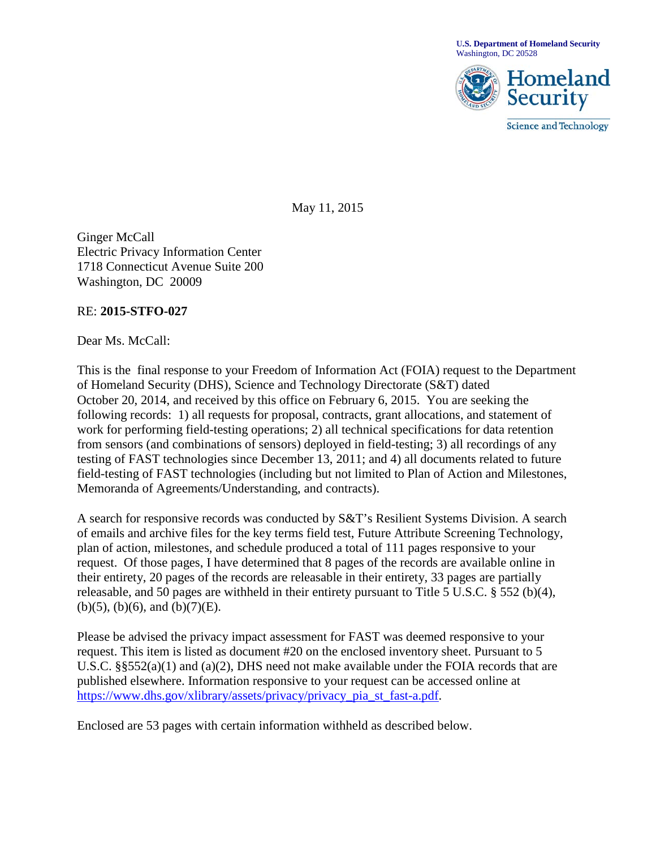**U.S. Department of Homeland Security** Washington, DC 20528



**Science and Technology** 

May 11, 2015

Ginger McCall Electric Privacy Information Center 1718 Connecticut Avenue Suite 200 Washington, DC 20009

## RE: **2015-STFO-027**

Dear Ms. McCall:

This is the final response to your Freedom of Information Act (FOIA) request to the Department of Homeland Security (DHS), Science and Technology Directorate (S&T) dated October 20, 2014, and received by this office on February 6, 2015. You are seeking the following records: 1) all requests for proposal, contracts, grant allocations, and statement of work for performing field-testing operations; 2) all technical specifications for data retention from sensors (and combinations of sensors) deployed in field-testing; 3) all recordings of any testing of FAST technologies since December 13, 2011; and 4) all documents related to future field-testing of FAST technologies (including but not limited to Plan of Action and Milestones, Memoranda of Agreements/Understanding, and contracts).

A search for responsive records was conducted by S&T's Resilient Systems Division. A search of emails and archive files for the key terms field test, Future Attribute Screening Technology, plan of action, milestones, and schedule produced a total of 111 pages responsive to your request. Of those pages, I have determined that 8 pages of the records are available online in their entirety, 20 pages of the records are releasable in their entirety, 33 pages are partially releasable, and 50 pages are withheld in their entirety pursuant to Title 5 U.S.C. § 552 (b)(4),  $(b)(5)$ ,  $(b)(6)$ , and  $(b)(7)(E)$ .

Please be advised the privacy impact assessment for FAST was deemed responsive to your request. This item is listed as document #20 on the enclosed inventory sheet. Pursuant to 5 U.S.C. §§552(a)(1) and (a)(2), DHS need not make available under the FOIA records that are published elsewhere. Information responsive to your request can be accessed online at [https://www.dhs.gov/xlibrary/assets/privacy/privacy\\_pia\\_st\\_fast-a.pdf.](https://www.dhs.gov/xlibrary/assets/privacy/privacy_pia_st_fast-a.pdf)

Enclosed are 53 pages with certain information withheld as described below.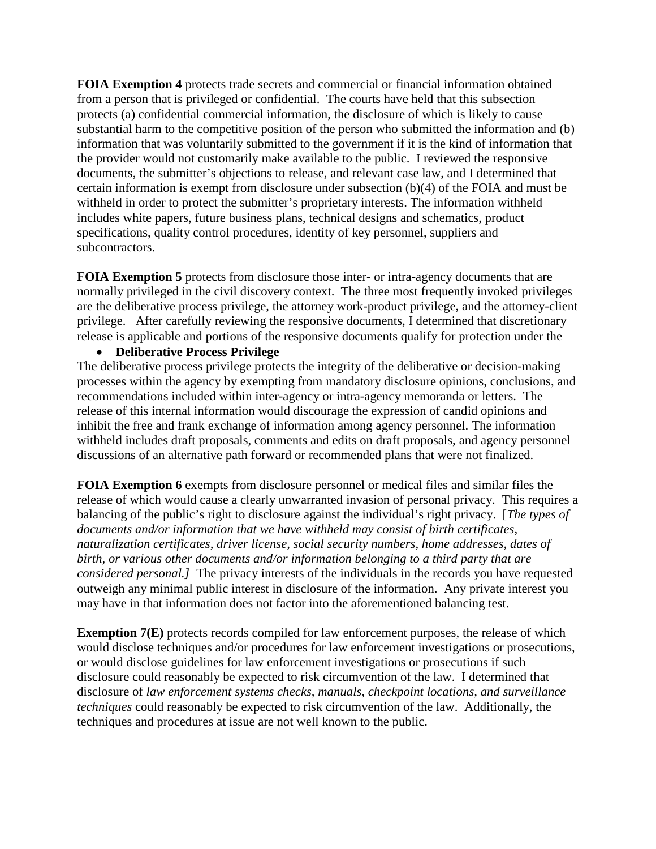**FOIA Exemption 4** protects trade secrets and commercial or financial information obtained from a person that is privileged or confidential. The courts have held that this subsection protects (a) confidential commercial information, the disclosure of which is likely to cause substantial harm to the competitive position of the person who submitted the information and (b) information that was voluntarily submitted to the government if it is the kind of information that the provider would not customarily make available to the public. I reviewed the responsive documents, the submitter's objections to release, and relevant case law, and I determined that certain information is exempt from disclosure under subsection (b)(4) of the FOIA and must be withheld in order to protect the submitter's proprietary interests. The information withheld includes white papers, future business plans, technical designs and schematics, product specifications, quality control procedures, identity of key personnel, suppliers and subcontractors.

**FOIA Exemption 5** protects from disclosure those inter- or intra-agency documents that are normally privileged in the civil discovery context. The three most frequently invoked privileges are the deliberative process privilege, the attorney work-product privilege, and the attorney-client privilege. After carefully reviewing the responsive documents, I determined that discretionary release is applicable and portions of the responsive documents qualify for protection under the

## • **Deliberative Process Privilege**

The deliberative process privilege protects the integrity of the deliberative or decision-making processes within the agency by exempting from mandatory disclosure opinions, conclusions, and recommendations included within inter-agency or intra-agency memoranda or letters. The release of this internal information would discourage the expression of candid opinions and inhibit the free and frank exchange of information among agency personnel. The information withheld includes draft proposals, comments and edits on draft proposals, and agency personnel discussions of an alternative path forward or recommended plans that were not finalized.

**FOIA Exemption 6** exempts from disclosure personnel or medical files and similar files the release of which would cause a clearly unwarranted invasion of personal privacy. This requires a balancing of the public's right to disclosure against the individual's right privacy. [*The types of documents and/or information that we have withheld may consist of birth certificates, naturalization certificates, driver license, social security numbers, home addresses, dates of birth, or various other documents and/or information belonging to a third party that are considered personal.]* The privacy interests of the individuals in the records you have requested outweigh any minimal public interest in disclosure of the information. Any private interest you may have in that information does not factor into the aforementioned balancing test.

**Exemption 7(E)** protects records compiled for law enforcement purposes, the release of which would disclose techniques and/or procedures for law enforcement investigations or prosecutions, or would disclose guidelines for law enforcement investigations or prosecutions if such disclosure could reasonably be expected to risk circumvention of the law. I determined that disclosure of *law enforcement systems checks, manuals, checkpoint locations, and surveillance techniques* could reasonably be expected to risk circumvention of the law. Additionally, the techniques and procedures at issue are not well known to the public.